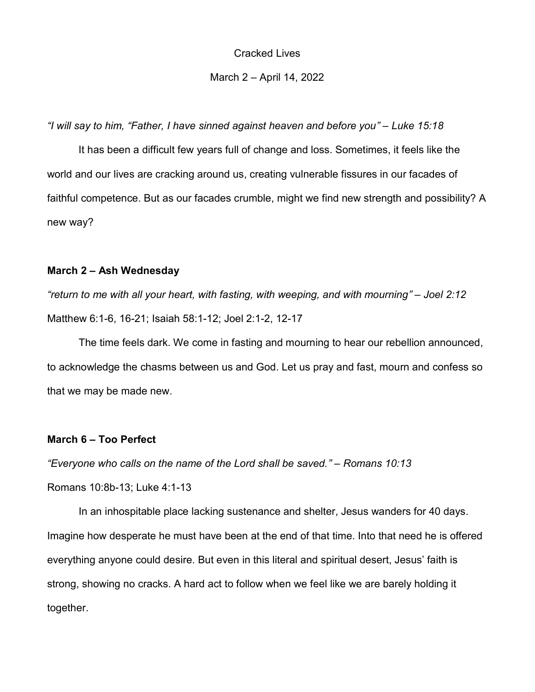## March 2 – April 14, 2022

"I will say to him, "Father, I have sinned against heaven and before you" – Luke 15:18

It has been a difficult few years full of change and loss. Sometimes, it feels like the world and our lives are cracking around us, creating vulnerable fissures in our facades of faithful competence. But as our facades crumble, might we find new strength and possibility? A new way?

#### March 2 – Ash Wednesday

"return to me with all your heart, with fasting, with weeping, and with mourning" – Joel 2:12 Matthew 6:1-6, 16-21; Isaiah 58:1-12; Joel 2:1-2, 12-17

 The time feels dark. We come in fasting and mourning to hear our rebellion announced, to acknowledge the chasms between us and God. Let us pray and fast, mourn and confess so that we may be made new.

### March 6 – Too Perfect

"Everyone who calls on the name of the Lord shall be saved." – Romans 10:13

Romans 10:8b-13; Luke 4:1-13

 In an inhospitable place lacking sustenance and shelter, Jesus wanders for 40 days. Imagine how desperate he must have been at the end of that time. Into that need he is offered everything anyone could desire. But even in this literal and spiritual desert, Jesus' faith is strong, showing no cracks. A hard act to follow when we feel like we are barely holding it together.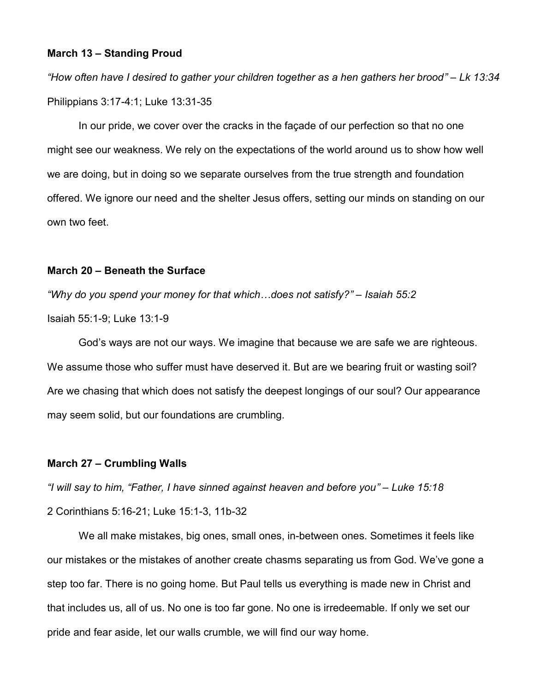## March 13 – Standing Proud

"How often have I desired to gather your children together as a hen gathers her brood" – Lk 13:34 Philippians 3:17-4:1; Luke 13:31-35

In our pride, we cover over the cracks in the façade of our perfection so that no one might see our weakness. We rely on the expectations of the world around us to show how well we are doing, but in doing so we separate ourselves from the true strength and foundation offered. We ignore our need and the shelter Jesus offers, setting our minds on standing on our own two feet.

## March 20 – Beneath the Surface

"Why do you spend your money for that which…does not satisfy?" – Isaiah 55:2 Isaiah 55:1-9; Luke 13:1-9

God's ways are not our ways. We imagine that because we are safe we are righteous. We assume those who suffer must have deserved it. But are we bearing fruit or wasting soil? Are we chasing that which does not satisfy the deepest longings of our soul? Our appearance may seem solid, but our foundations are crumbling.

## March 27 – Crumbling Walls

"I will say to him, "Father, I have sinned against heaven and before you" – Luke 15:18 2 Corinthians 5:16-21; Luke 15:1-3, 11b-32

 We all make mistakes, big ones, small ones, in-between ones. Sometimes it feels like our mistakes or the mistakes of another create chasms separating us from God. We've gone a step too far. There is no going home. But Paul tells us everything is made new in Christ and that includes us, all of us. No one is too far gone. No one is irredeemable. If only we set our pride and fear aside, let our walls crumble, we will find our way home.